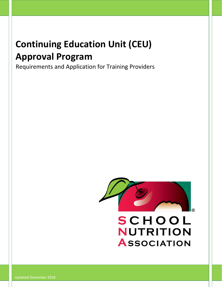# **Continuing Education Unit (CEU) Approval Program**

Requirements and Application for Training Providers



Updated December 2018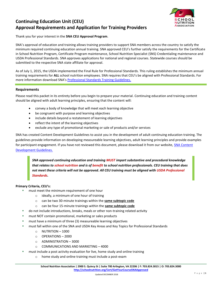

## **Continuing Education Unit (CEU) Approval Requirements and Application for Training Providers**

Thank you for your interest in the **SNA CEU Approval Program**.

SNA's approval of education and training allows training providers to support SNA members across the country to satisfy the minimum required continuing education annual training. SNA approved CEU's further satisfy the requirements for the Certificate in School Nutrition Program, Certificate Program maintenance, School Nutrition Specialist (SNS) Credentialing maintenance and USDA Professional Standards. SNA approves applications for national and regional courses. Statewide courses should be submitted to the respective SNA state affiliate for approval.

As of July 1, 2015, the USDA implemented the Final Rule for Professional Standards. This ruling establishes the minimum annual training requirements for **ALL** school nutrition employees. SNA requires that CEU's be aligned with Professional Standards. For more information download SNA's [Professional Standards Training Guidelines.](https://schoolnutrition.org/uploadedFiles/4_Certification,_Education_and_Professional_development/8_Professional_Standards/Professional%20Standards%20Training%20Guidelines%20JUL%202015.pdf)

#### **Requirements**

Please read this packet in its entirety before you begin to prepare your material. Continuing education and training content should be aligned with adult learning principles, ensuring that the content will:

- convey a body of knowledge that will meet each learning objective
- be congruent with purpose and learning objectives
- include details beyond a restatement of learning objectives
- reflect the intent of the learning objectives
- exclude any type of promotional marketing or sale of products and/or services

SNA has created Content Development Guidelines to assist you in the development of adult continuing education training. The guidelines provide information on developing measureable learning objectives, adult learning principles and provide examples for participant engagement. If you have not reviewed this document, please download it from our website, SNA Content [Development Guidelines.](file:///C:/Users/taiken/iCloudDrive/School%20Nutrition/CEUs%20and%20Core%20Review/PENDING)

*SNA approved continuing education and training MUST impart substantive and procedural knowledge that relates to school nutrition and is of benefit to school nutrition professionals. CEU training that does not meet these criteria will not be approved. All CEU training must be aligned with USDA Professional Standards.*

#### **Primary Criteria, CEU's:**

- must meet the minimum requirement of one hour
	- o ideally, a minimum of one hour of training
	- o can be two 30-minute trainings within the **same subtopic code**
	- o can be four 15-minute trainings within the **same subtopic code**
- do not include introductions, breaks, meals or other non-training related activity
- must NOT contain promotional, marketing or sales products
- must have a minimum of three (3) measureable learning objectives
- must fall within one of the SNA and USDA Key Areas and Key Topics for Professional Standards
	- o NUTRITION 1000
	- o OPERATIONS 2000
	- o ADMINISTRATION 3000
	- o COMMUNICATIONS AND MARKETING 4000
- must include a post activity evaluation for live, home study and online training
	- o home study and online training must include a post-exam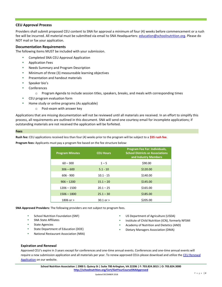#### **CEU Approval Process**

Providers shall submit proposed CEU content to SNA for approval a minimum of four (4) weeks before commencement or a rush fee will be incurred. All material must be submitted via email to SNA Headquarters: [education@schoolnutrition.org.](mailto:education@schoolnutrition.org) Please do NOT mail or fax your application.

#### **Documentation Requirements**

The following items MUST be included with your submission.

- Completed SNA CEU Approval Application
- Application Fees
- Needs Summary and Program Description
- **■** Minimum of three (3) measureable learning objectives
- **■** Presentation and handout materials
- Speaker bio's
- Conferences
	- $\circ$  Program Agenda to include session titles, speakers, breaks, and meals with corresponding times
- CEU program evaluation form
- Home study or online programs (As applicable)
	- o Post-exam with answer key

Applications that are missing documentation will not be reviewed until all materials are received. In an effort to simplify this process, all requirements are outlined in this document. SNA will send one courtesy email for incomplete applications; if outstanding materials are not received the application will be forfeited.

#### **Fees**

**Rush fee:** CEU applications received less than four (4) weeks prior to the program will be subject to a **\$55 rush fee**.

**Program fees:** Applicants must pay a program fee based on the fee structure below:

| <b>Program Minutes</b> | <b>CEU Hours</b> | <b>Program Fee For: Individuals,</b><br><b>School Districts or Associations</b><br>and Industry Members |  |
|------------------------|------------------|---------------------------------------------------------------------------------------------------------|--|
| $60 - 300$             | $1 - 5$          | \$90.00                                                                                                 |  |
| $306 - 600$            | $5.1 - 10$       | \$120.00                                                                                                |  |
| $606 - 900$            | $10.1 - 15$      | \$140.00                                                                                                |  |
| $906 - 1200$           | $15.1 - 20$      | \$145.00                                                                                                |  |
| $1206 - 1500$          | $20.1 - 25$      | \$165.00                                                                                                |  |
| $1506 - 1800$          | $25.1 - 30$      | \$185.00                                                                                                |  |
| 1806 or >              | $30.1$ or $>$    | \$205.00                                                                                                |  |

**SNA Approved Providers:** The following providers are not subject to program fees.

- School Nutrition Foundation (SNF)
- SNA State Affiliates
- State Agencies
- State Department of Education (DOE)
- National Restaurant Association (NRA)
- US Department of Agriculture (USDA)
- **■** Institute of Child Nutrition (ICN), formerly NFSMI
- Academy of Nutrition and Dietetics (AND)
- **Dietary Managers Association (DMA)**

#### **Expiration and Renewal**

Approved CEU's expire in 3 years except for conferences and one-time annual events. Conferences and one-time annual events will require a new submission application and all materials per year. To renew approved CEUs please download and utilize the CEU Renewal [Application](https://schoolnutrition.org/approvalprogramapplications/#CEURenewal) on our website.